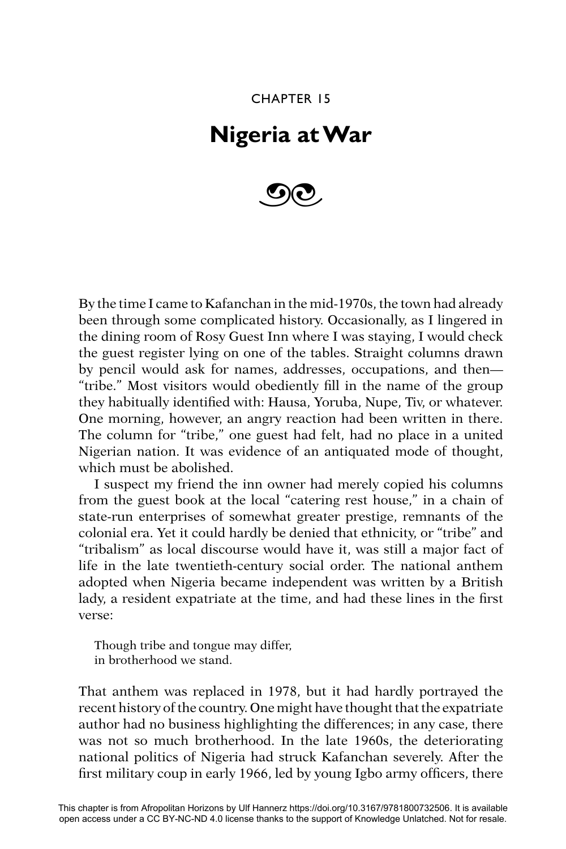CHAPTER 15

## **Nigeria at War**



By the time I came to Kafanchan in the mid-1970s, the town had already been through some complicated history. Occasionally, as I lingered in the dining room of Rosy Guest Inn where I was staying, I would check the guest register lying on one of the tables. Straight columns drawn by pencil would ask for names, addresses, occupations, and then— "tribe." Most visitors would obediently fill in the name of the group they habitually identified with: Hausa, Yoruba, Nupe, Tiv, or whatever. One morning, however, an angry reaction had been written in there. The column for "tribe," one guest had felt, had no place in a united Nigerian nation. It was evidence of an antiquated mode of thought, which must be abolished.

I suspect my friend the inn owner had merely copied his columns from the guest book at the local "catering rest house," in a chain of state-run enterprises of somewhat greater prestige, remnants of the colonial era. Yet it could hardly be denied that ethnicity, or "tribe" and "tribalism" as local discourse would have it, was still a major fact of life in the late twentieth-century social order. The national anthem adopted when Nigeria became independent was written by a British lady, a resident expatriate at the time, and had these lines in the first verse:

Though tribe and tongue may differ, in brotherhood we stand.

That anthem was replaced in 1978, but it had hardly portrayed the recent history of the country. One might have thought that the expatriate author had no business highlighting the differences; in any case, there was not so much brotherhood. In the late 1960s, the deteriorating national politics of Nigeria had struck Kafanchan severely. After the first military coup in early 1966, led by young Igbo army officers, there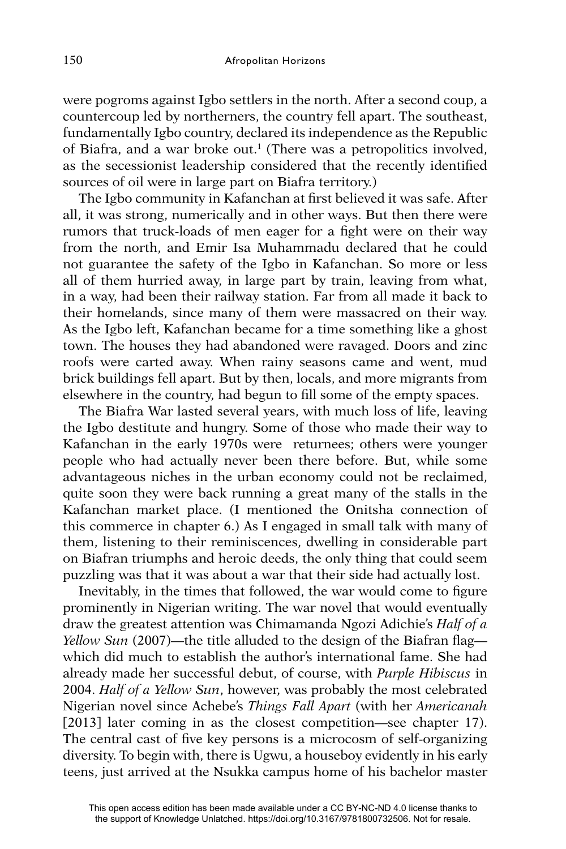were pogroms against Igbo settlers in the north. After a second coup, a countercoup led by northerners, the country fell apart. The southeast, fundamentally Igbo country, declared its independence as the Republic of Biafra, and a war broke out.1 (There was a petropolitics involved, as the secessionist leadership considered that the recently identified sources of oil were in large part on Biafra territory.)

The Igbo community in Kafanchan at first believed it was safe. After all, it was strong, numerically and in other ways. But then there were rumors that truck-loads of men eager for a fight were on their way from the north, and Emir Isa Muhammadu declared that he could not guarantee the safety of the Igbo in Kafanchan. So more or less all of them hurried away, in large part by train, leaving from what, in a way, had been their railway station. Far from all made it back to their homelands, since many of them were massacred on their way. As the Igbo left, Kafanchan became for a time something like a ghost town. The houses they had abandoned were ravaged. Doors and zinc roofs were carted away. When rainy seasons came and went, mud brick buildings fell apart. But by then, locals, and more migrants from elsewhere in the country, had begun to fill some of the empty spaces.

The Biafra War lasted several years, with much loss of life, leaving the Igbo destitute and hungry. Some of those who made their way to Kafanchan in the early 1970s were returnees; others were younger people who had actually never been there before. But, while some advantageous niches in the urban economy could not be reclaimed, quite soon they were back running a great many of the stalls in the Kafanchan market place. (I mentioned the Onitsha connection of this commerce in chapter 6.) As I engaged in small talk with many of them, listening to their reminiscences, dwelling in considerable part on Biafran triumphs and heroic deeds, the only thing that could seem puzzling was that it was about a war that their side had actually lost.

Inevitably, in the times that followed, the war would come to figure prominently in Nigerian writing. The war novel that would eventually draw the greatest attention was Chimamanda Ngozi Adichie's *Half of a Yellow Sun* (2007)—the title alluded to the design of the Biafran flag which did much to establish the author's international fame. She had already made her successful debut, of course, with *Purple Hibiscus* in 2004. *Half of a Yellow Sun*, however, was probably the most celebrated Nigerian novel since Achebe's *Things Fall Apart* (with her *Americanah*  [2013] later coming in as the closest competition—see chapter 17). The central cast of five key persons is a microcosm of self-organizing diversity. To begin with, there is Ugwu, a houseboy evidently in his early teens, just arrived at the Nsukka campus home of his bachelor master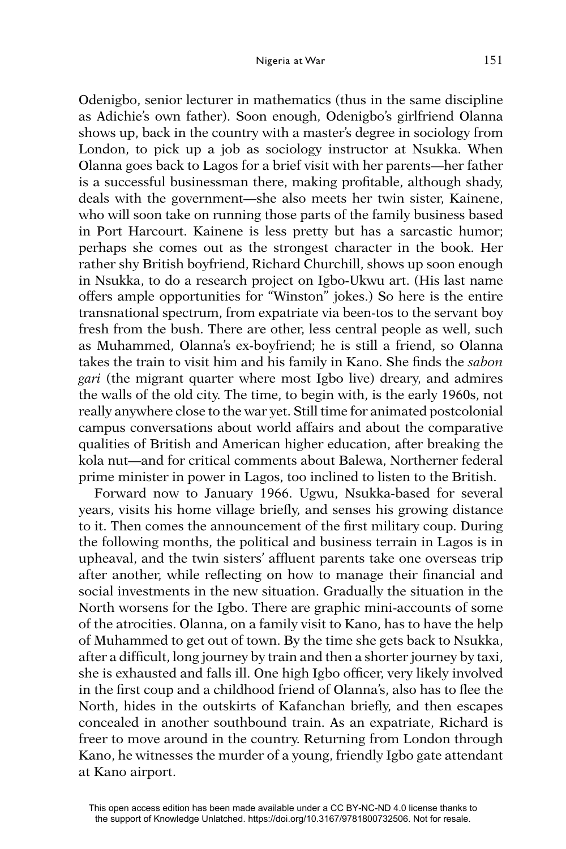Odenigbo, senior lecturer in mathematics (thus in the same discipline as Adichie's own father). Soon enough, Odenigbo's girlfriend Olanna shows up, back in the country with a master's degree in sociology from London, to pick up a job as sociology instructor at Nsukka. When Olanna goes back to Lagos for a brief visit with her parents—her father is a successful businessman there, making profitable, although shady, deals with the government—she also meets her twin sister, Kainene, who will soon take on running those parts of the family business based in Port Harcourt. Kainene is less pretty but has a sarcastic humor; perhaps she comes out as the strongest character in the book. Her rather shy British boyfriend, Richard Churchill, shows up soon enough in Nsukka, to do a research project on Igbo-Ukwu art. (His last name offers ample opportunities for "Winston" jokes.) So here is the entire transnational spectrum, from expatriate via been-tos to the servant boy fresh from the bush. There are other, less central people as well, such as Muhammed, Olanna's ex-boyfriend; he is still a friend, so Olanna takes the train to visit him and his family in Kano. She finds the *sabon gari* (the migrant quarter where most Igbo live) dreary, and admires the walls of the old city. The time, to begin with, is the early 1960s, not really anywhere close to the war yet. Still time for animated postcolonial campus conversations about world affairs and about the comparative qualities of British and American higher education, after breaking the kola nut—and for critical comments about Balewa, Northerner federal prime minister in power in Lagos, too inclined to listen to the British.

Forward now to January 1966. Ugwu, Nsukka-based for several years, visits his home village briefly, and senses his growing distance to it. Then comes the announcement of the first military coup. During the following months, the political and business terrain in Lagos is in upheaval, and the twin sisters' affluent parents take one overseas trip after another, while reflecting on how to manage their financial and social investments in the new situation. Gradually the situation in the North worsens for the Igbo. There are graphic mini-accounts of some of the atrocities. Olanna, on a family visit to Kano, has to have the help of Muhammed to get out of town. By the time she gets back to Nsukka, after a difficult, long journey by train and then a shorter journey by taxi, she is exhausted and falls ill. One high Igbo officer, very likely involved in the first coup and a childhood friend of Olanna's, also has to flee the North, hides in the outskirts of Kafanchan briefly, and then escapes concealed in another southbound train. As an expatriate, Richard is freer to move around in the country. Returning from London through Kano, he witnesses the murder of a young, friendly Igbo gate attendant at Kano airport.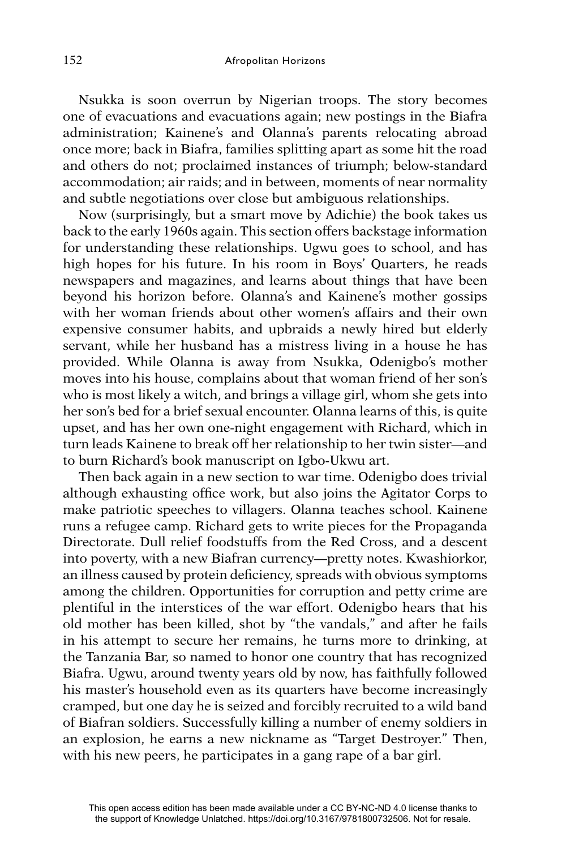Nsukka is soon overrun by Nigerian troops. The story becomes one of evacuations and evacuations again; new postings in the Biafra administration; Kainene's and Olanna's parents relocating abroad once more; back in Biafra, families splitting apart as some hit the road and others do not; proclaimed instances of triumph; below-standard accommodation; air raids; and in between, moments of near normality and subtle negotiations over close but ambiguous relationships.

Now (surprisingly, but a smart move by Adichie) the book takes us back to the early 1960s again. This section offers backstage information for understanding these relationships. Ugwu goes to school, and has high hopes for his future. In his room in Boys' Quarters, he reads newspapers and magazines, and learns about things that have been beyond his horizon before. Olanna's and Kainene's mother gossips with her woman friends about other women's affairs and their own expensive consumer habits, and upbraids a newly hired but elderly servant, while her husband has a mistress living in a house he has provided. While Olanna is away from Nsukka, Odenigbo's mother moves into his house, complains about that woman friend of her son's who is most likely a witch, and brings a village girl, whom she gets into her son's bed for a brief sexual encounter. Olanna learns of this, is quite upset, and has her own one-night engagement with Richard, which in turn leads Kainene to break off her relationship to her twin sister—and to burn Richard's book manuscript on Igbo-Ukwu art.

Then back again in a new section to war time. Odenigbo does trivial although exhausting office work, but also joins the Agitator Corps to make patriotic speeches to villagers. Olanna teaches school. Kainene runs a refugee camp. Richard gets to write pieces for the Propaganda Directorate. Dull relief foodstuffs from the Red Cross, and a descent into poverty, with a new Biafran currency—pretty notes. Kwashiorkor, an illness caused by protein deficiency, spreads with obvious symptoms among the children. Opportunities for corruption and petty crime are plentiful in the interstices of the war effort. Odenigbo hears that his old mother has been killed, shot by "the vandals," and after he fails in his attempt to secure her remains, he turns more to drinking, at the Tanzania Bar, so named to honor one country that has recognized Biafra. Ugwu, around twenty years old by now, has faithfully followed his master's household even as its quarters have become increasingly cramped, but one day he is seized and forcibly recruited to a wild band of Biafran soldiers. Successfully killing a number of enemy soldiers in an explosion, he earns a new nickname as "Target Destroyer." Then, with his new peers, he participates in a gang rape of a bar girl.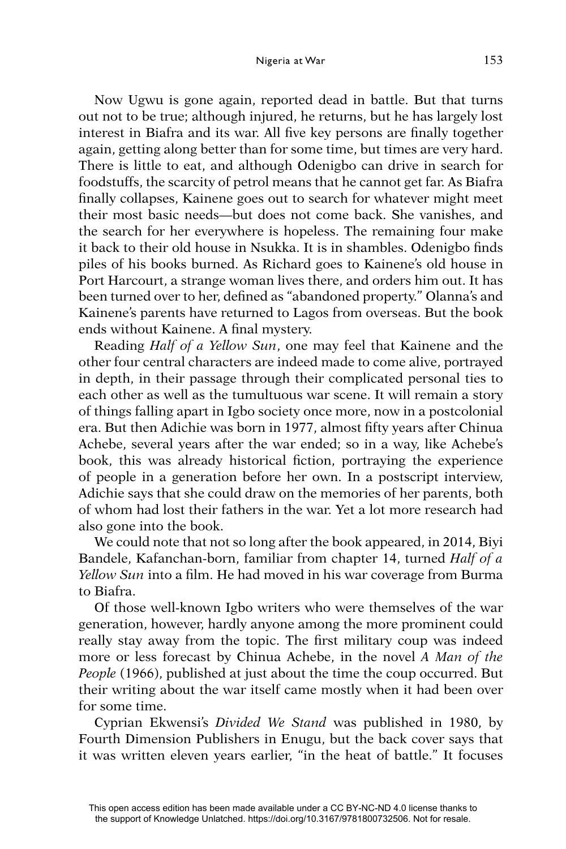Now Ugwu is gone again, reported dead in battle. But that turns out not to be true; although injured, he returns, but he has largely lost interest in Biafra and its war. All five key persons are finally together again, getting along better than for some time, but times are very hard. There is little to eat, and although Odenigbo can drive in search for foodstuffs, the scarcity of petrol means that he cannot get far. As Biafra finally collapses, Kainene goes out to search for whatever might meet their most basic needs—but does not come back. She vanishes, and the search for her everywhere is hopeless. The remaining four make it back to their old house in Nsukka. It is in shambles. Odenigbo finds piles of his books burned. As Richard goes to Kainene's old house in Port Harcourt, a strange woman lives there, and orders him out. It has been turned over to her, defined as "abandoned property." Olanna's and Kainene's parents have returned to Lagos from overseas. But the book ends without Kainene. A final mystery.

Reading *Half of a Yellow Sun*, one may feel that Kainene and the other four central characters are indeed made to come alive, portrayed in depth, in their passage through their complicated personal ties to each other as well as the tumultuous war scene. It will remain a story of things falling apart in Igbo society once more, now in a postcolonial era. But then Adichie was born in 1977, almost fifty years after Chinua Achebe, several years after the war ended; so in a way, like Achebe's book, this was already historical fiction, portraying the experience of people in a generation before her own. In a postscript interview, Adichie says that she could draw on the memories of her parents, both of whom had lost their fathers in the war. Yet a lot more research had also gone into the book.

We could note that not so long after the book appeared, in 2014, Biyi Bandele, Kafanchan-born, familiar from chapter 14, turned *Half of a Yellow Sun* into a film. He had moved in his war coverage from Burma to Biafra.

Of those well-known Igbo writers who were themselves of the war generation, however, hardly anyone among the more prominent could really stay away from the topic. The first military coup was indeed more or less forecast by Chinua Achebe, in the novel *A Man of the People* (1966), published at just about the time the coup occurred. But their writing about the war itself came mostly when it had been over for some time.

Cyprian Ekwensi's *Divided We Stand* was published in 1980, by Fourth Dimension Publishers in Enugu, but the back cover says that it was written eleven years earlier, "in the heat of battle." It focuses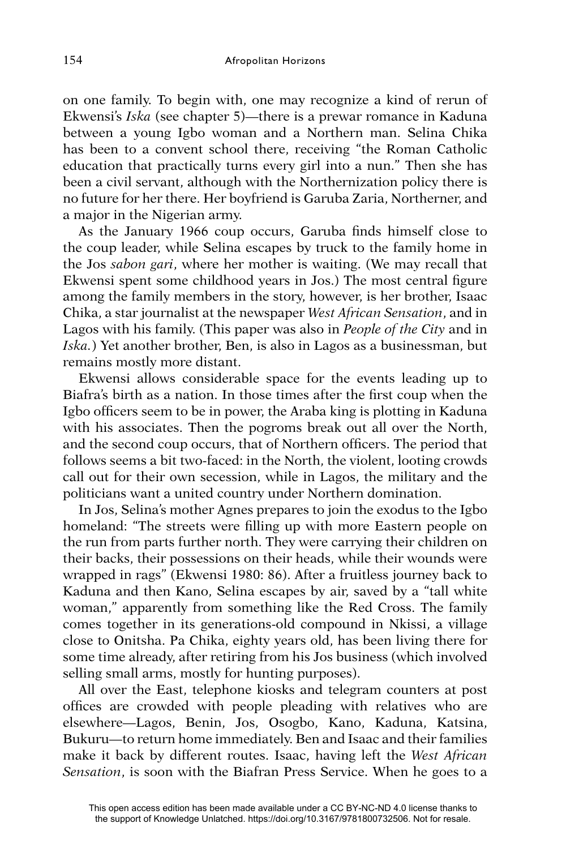on one family. To begin with, one may recognize a kind of rerun of Ekwensi's *Iska* (see chapter 5)—there is a prewar romance in Kaduna between a young Igbo woman and a Northern man. Selina Chika has been to a convent school there, receiving "the Roman Catholic education that practically turns every girl into a nun." Then she has been a civil servant, although with the Northernization policy there is no future for her there. Her boyfriend is Garuba Zaria, Northerner, and a major in the Nigerian army.

As the January 1966 coup occurs, Garuba finds himself close to the coup leader, while Selina escapes by truck to the family home in the Jos *sabon gari*, where her mother is waiting. (We may recall that Ekwensi spent some childhood years in Jos.) The most central figure among the family members in the story, however, is her brother, Isaac Chika, a star journalist at the newspaper *West African Sensation*, and in Lagos with his family. (This paper was also in *People of the City* and in *Iska.*) Yet another brother, Ben, is also in Lagos as a businessman, but remains mostly more distant.

Ekwensi allows considerable space for the events leading up to Biafra's birth as a nation. In those times after the first coup when the Igbo officers seem to be in power, the Araba king is plotting in Kaduna with his associates. Then the pogroms break out all over the North, and the second coup occurs, that of Northern officers. The period that follows seems a bit two-faced: in the North, the violent, looting crowds call out for their own secession, while in Lagos, the military and the politicians want a united country under Northern domination.

In Jos, Selina's mother Agnes prepares to join the exodus to the Igbo homeland: "The streets were filling up with more Eastern people on the run from parts further north. They were carrying their children on their backs, their possessions on their heads, while their wounds were wrapped in rags" (Ekwensi 1980: 86). After a fruitless journey back to Kaduna and then Kano, Selina escapes by air, saved by a "tall white woman," apparently from something like the Red Cross. The family comes together in its generations-old compound in Nkissi, a village close to Onitsha. Pa Chika, eighty years old, has been living there for some time already, after retiring from his Jos business (which involved selling small arms, mostly for hunting purposes).

All over the East, telephone kiosks and telegram counters at post offices are crowded with people pleading with relatives who are elsewhere—Lagos, Benin, Jos, Osogbo, Kano, Kaduna, Katsina, Bukuru—to return home immediately. Ben and Isaac and their families make it back by different routes. Isaac, having left the *West African Sensation*, is soon with the Biafran Press Service. When he goes to a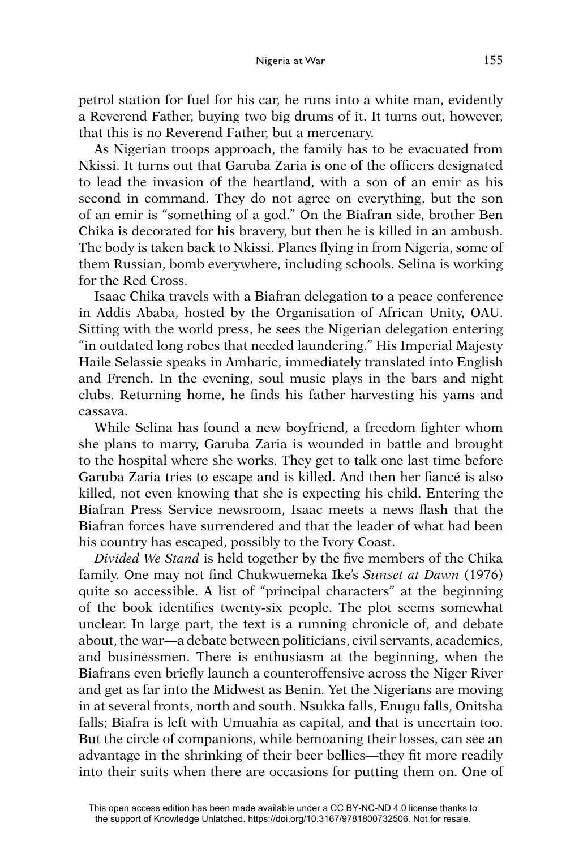petrol station for fuel for his car, he runs into a white man, evidently a Reverend Father, buying two big drums of it. It turns out, however, that this is no Reverend Father, but a mercenary.

As Nigerian troops approach, the family has to be evacuated from Nkissi. It turns out that Garuba Zaria is one of the officers designated to lead the invasion of the heartland, with a son of an emir as his second in command. They do not agree on everything, but the son of an emir is "something of a god." On the Biafran side, brother Ben Chika is decorated for his bravery, but then he is killed in an ambush. The body is taken back to Nkissi. Planes flying in from Nigeria, some of them Russian, bomb everywhere, including schools. Selina is working for the Red Cross.

Isaac Chika travels with a Biafran delegation to a peace conference in Addis Ababa, hosted by the Organisation of African Unity, OAU. Sitting with the world press, he sees the Nigerian delegation entering "in outdated long robes that needed laundering." His Imperial Majesty Haile Selassie speaks in Amharic, immediately translated into English and French. In the evening, soul music plays in the bars and night clubs. Returning home, he finds his father harvesting his yams and cassava.

While Selina has found a new boyfriend, a freedom fighter whom she plans to marry, Garuba Zaria is wounded in battle and brought to the hospital where she works. They get to talk one last time before Garuba Zaria tries to escape and is killed. And then her fiancé is also killed, not even knowing that she is expecting his child. Entering the Biafran Press Service newsroom, Isaac meets a news flash that the Biafran forces have surrendered and that the leader of what had been his country has escaped, possibly to the Ivory Coast.

*Divided We Stand* is held together by the five members of the Chika family. One may not find Chukwuemeka Ike's *Sunset at Dawn* (1976) quite so accessible. A list of "principal characters" at the beginning of the book identifies twenty-six people. The plot seems somewhat unclear. In large part, the text is a running chronicle of, and debate about, the war—a debate between politicians, civil servants, academics, and businessmen. There is enthusiasm at the beginning, when the Biafrans even briefly launch a counteroffensive across the Niger River and get as far into the Midwest as Benin. Yet the Nigerians are moving in at several fronts, north and south. Nsukka falls, Enugu falls, Onitsha falls; Biafra is left with Umuahia as capital, and that is uncertain too. But the circle of companions, while bemoaning their losses, can see an advantage in the shrinking of their beer bellies—they fit more readily into their suits when there are occasions for putting them on. One of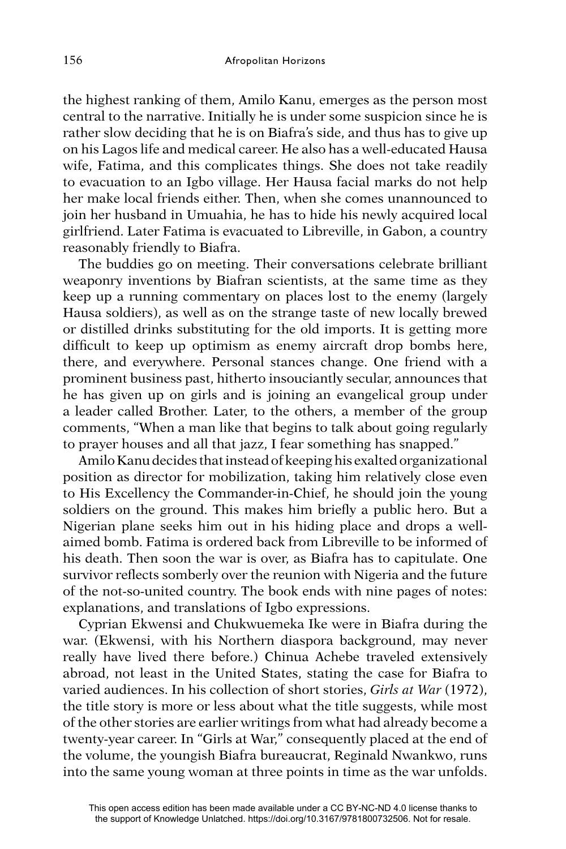the highest ranking of them, Amilo Kanu, emerges as the person most central to the narrative. Initially he is under some suspicion since he is rather slow deciding that he is on Biafra's side, and thus has to give up on his Lagos life and medical career. He also has a well-educated Hausa wife, Fatima, and this complicates things. She does not take readily to evacuation to an Igbo village. Her Hausa facial marks do not help her make local friends either. Then, when she comes unannounced to join her husband in Umuahia, he has to hide his newly acquired local girlfriend. Later Fatima is evacuated to Libreville, in Gabon, a country reasonably friendly to Biafra.

The buddies go on meeting. Their conversations celebrate brilliant weaponry inventions by Biafran scientists, at the same time as they keep up a running commentary on places lost to the enemy (largely Hausa soldiers), as well as on the strange taste of new locally brewed or distilled drinks substituting for the old imports. It is getting more difficult to keep up optimism as enemy aircraft drop bombs here, there, and everywhere. Personal stances change. One friend with a prominent business past, hitherto insouciantly secular, announces that he has given up on girls and is joining an evangelical group under a leader called Brother. Later, to the others, a member of the group comments, "When a man like that begins to talk about going regularly to prayer houses and all that jazz, I fear something has snapped."

Amilo Kanu decides that instead of keeping his exalted organizational position as director for mobilization, taking him relatively close even to His Excellency the Commander-in-Chief, he should join the young soldiers on the ground. This makes him briefly a public hero. But a Nigerian plane seeks him out in his hiding place and drops a wellaimed bomb. Fatima is ordered back from Libreville to be informed of his death. Then soon the war is over, as Biafra has to capitulate. One survivor reflects somberly over the reunion with Nigeria and the future of the not-so-united country. The book ends with nine pages of notes: explanations, and translations of Igbo expressions.

Cyprian Ekwensi and Chukwuemeka Ike were in Biafra during the war. (Ekwensi, with his Northern diaspora background, may never really have lived there before.) Chinua Achebe traveled extensively abroad, not least in the United States, stating the case for Biafra to varied audiences. In his collection of short stories, *Girls at War* (1972), the title story is more or less about what the title suggests, while most of the other stories are earlier writings from what had already become a twenty-year career. In "Girls at War," consequently placed at the end of the volume, the youngish Biafra bureaucrat, Reginald Nwankwo, runs into the same young woman at three points in time as the war unfolds.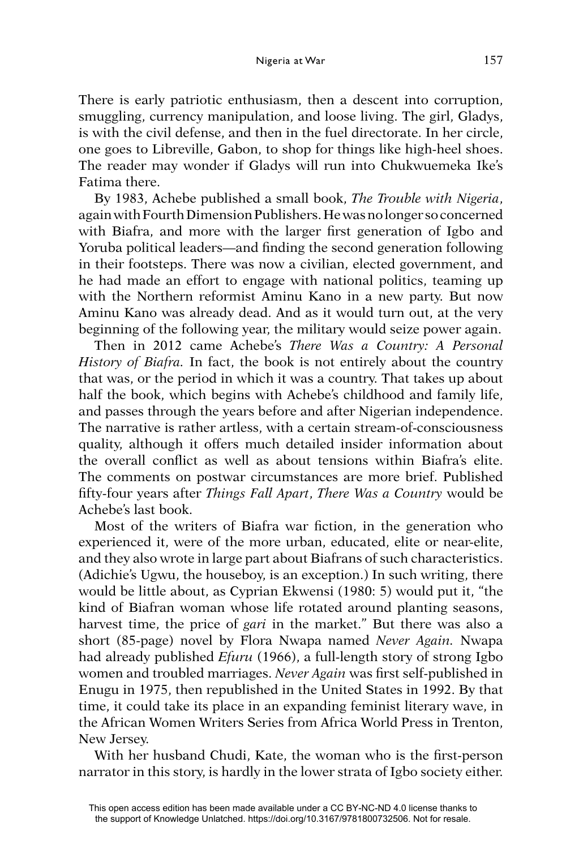## Nigeria at War 157

There is early patriotic enthusiasm, then a descent into corruption, smuggling, currency manipulation, and loose living. The girl, Gladys, is with the civil defense, and then in the fuel directorate. In her circle, one goes to Libreville, Gabon, to shop for things like high-heel shoes. The reader may wonder if Gladys will run into Chukwuemeka Ike's Fatima there.

By 1983, Achebe published a small book, *The Trouble with Nigeria*, again with Fourth Dimension Publishers. He was no longer so concerned with Biafra, and more with the larger first generation of Igbo and Yoruba political leaders—and finding the second generation following in their footsteps. There was now a civilian, elected government, and he had made an effort to engage with national politics, teaming up with the Northern reformist Aminu Kano in a new party. But now Aminu Kano was already dead. And as it would turn out, at the very beginning of the following year, the military would seize power again.

Then in 2012 came Achebe's *There Was a Country: A Personal History of Biafra.* In fact, the book is not entirely about the country that was, or the period in which it was a country. That takes up about half the book, which begins with Achebe's childhood and family life, and passes through the years before and after Nigerian independence. The narrative is rather artless, with a certain stream-of-consciousness quality, although it offers much detailed insider information about the overall conflict as well as about tensions within Biafra's elite. The comments on postwar circumstances are more brief. Published fi fty-four years after *Things Fall Apart*, *There Was a Country* would be Achebe's last book.

Most of the writers of Biafra war fiction, in the generation who experienced it, were of the more urban, educated, elite or near-elite, and they also wrote in large part about Biafrans of such characteristics. (Adichie's Ugwu, the houseboy, is an exception.) In such writing, there would be little about, as Cyprian Ekwensi (1980: 5) would put it, "the kind of Biafran woman whose life rotated around planting seasons, harvest time, the price of *gari* in the market." But there was also a short (85-page) novel by Flora Nwapa named *Never Again.* Nwapa had already published *Efuru* (1966), a full-length story of strong Igbo women and troubled marriages. *Never Again* was first self-published in Enugu in 1975, then republished in the United States in 1992. By that time, it could take its place in an expanding feminist literary wave, in the African Women Writers Series from Africa World Press in Trenton, New Jersey.

With her husband Chudi, Kate, the woman who is the first-person narrator in this story, is hardly in the lower strata of Igbo society either.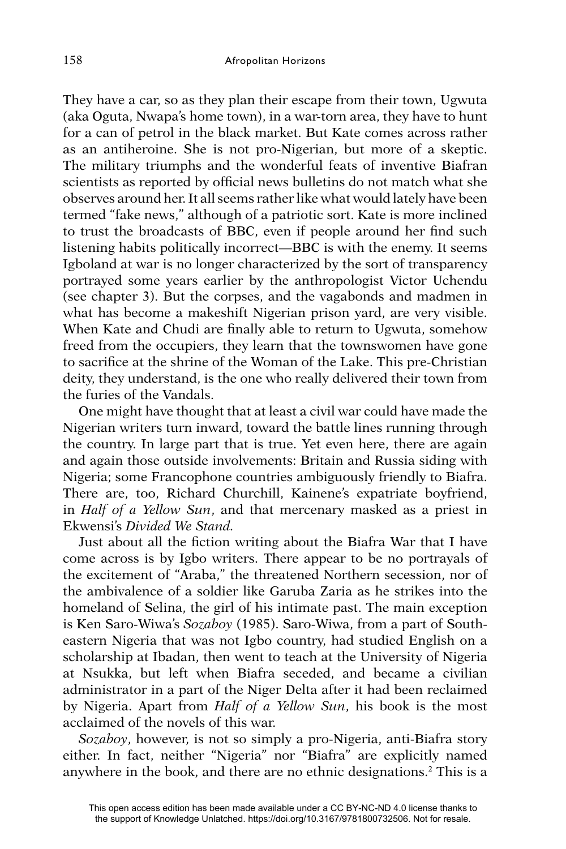They have a car, so as they plan their escape from their town, Ugwuta (aka Oguta, Nwapa's home town), in a war-torn area, they have to hunt for a can of petrol in the black market. But Kate comes across rather as an antiheroine. She is not pro-Nigerian, but more of a skeptic. The military triumphs and the wonderful feats of inventive Biafran scientists as reported by official news bulletins do not match what she observes around her. It all seems rather like what would lately have been termed "fake news," although of a patriotic sort. Kate is more inclined to trust the broadcasts of BBC, even if people around her find such listening habits politically incorrect—BBC is with the enemy. It seems Igboland at war is no longer characterized by the sort of transparency portrayed some years earlier by the anthropologist Victor Uchendu (see chapter 3). But the corpses, and the vagabonds and madmen in what has become a makeshift Nigerian prison yard, are very visible. When Kate and Chudi are finally able to return to Ugwuta, somehow freed from the occupiers, they learn that the townswomen have gone to sacrifice at the shrine of the Woman of the Lake. This pre-Christian deity, they understand, is the one who really delivered their town from the furies of the Vandals.

One might have thought that at least a civil war could have made the Nigerian writers turn inward, toward the battle lines running through the country. In large part that is true. Yet even here, there are again and again those outside involvements: Britain and Russia siding with Nigeria; some Francophone countries ambiguously friendly to Biafra. There are, too, Richard Churchill, Kainene's expatriate boyfriend, in *Half of a Yellow Sun*, and that mercenary masked as a priest in Ekwensi's *Divided We Stand.*

Just about all the fiction writing about the Biafra War that I have come across is by Igbo writers. There appear to be no portrayals of the excitement of "Araba," the threatened Northern secession, nor of the ambivalence of a soldier like Garuba Zaria as he strikes into the homeland of Selina, the girl of his intimate past. The main exception is Ken Saro-Wiwa's *Sozaboy* (1985). Saro-Wiwa, from a part of Southeastern Nigeria that was not Igbo country, had studied English on a scholarship at Ibadan, then went to teach at the University of Nigeria at Nsukka, but left when Biafra seceded, and became a civilian administrator in a part of the Niger Delta after it had been reclaimed by Nigeria. Apart from *Half of a Yellow Sun*, his book is the most acclaimed of the novels of this war.

*Sozaboy*, however, is not so simply a pro-Nigeria, anti-Biafra story either. In fact, neither "Nigeria" nor "Biafra" are explicitly named anywhere in the book, and there are no ethnic designations.2 This is a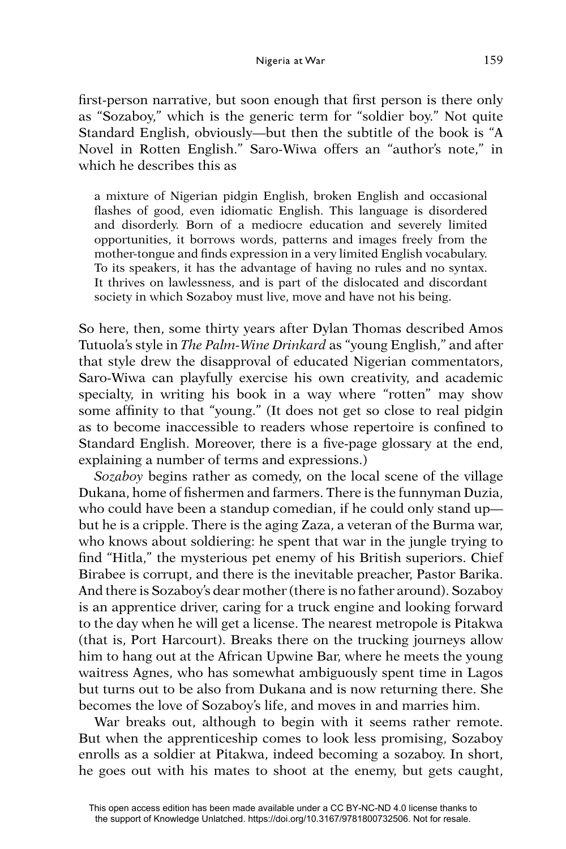first-person narrative, but soon enough that first person is there only as "Sozaboy," which is the generic term for "soldier boy." Not quite Standard English, obviously—but then the subtitle of the book is "A Novel in Rotten English." Saro-Wiwa offers an "author's note," in which he describes this as

a mixture of Nigerian pidgin English, broken English and occasional flashes of good, even idiomatic English. This language is disordered and disorderly. Born of a mediocre education and severely limited opportunities, it borrows words, patterns and images freely from the mother-tongue and finds expression in a very limited English vocabulary. To its speakers, it has the advantage of having no rules and no syntax. It thrives on lawlessness, and is part of the dislocated and discordant society in which Sozaboy must live, move and have not his being.

So here, then, some thirty years after Dylan Thomas described Amos Tutuola's style in *The Palm-Wine Drinkard* as "young English," and after that style drew the disapproval of educated Nigerian commentators, Saro-Wiwa can playfully exercise his own creativity, and academic specialty, in writing his book in a way where "rotten" may show some affinity to that "young." (It does not get so close to real pidgin as to become inaccessible to readers whose repertoire is confined to Standard English. Moreover, there is a five-page glossary at the end, explaining a number of terms and expressions.)

*Sozaboy* begins rather as comedy, on the local scene of the village Dukana, home of fishermen and farmers. There is the funnyman Duzia, who could have been a standup comedian, if he could only stand up but he is a cripple. There is the aging Zaza, a veteran of the Burma war, who knows about soldiering: he spent that war in the jungle trying to find "Hitla," the mysterious pet enemy of his British superiors. Chief Birabee is corrupt, and there is the inevitable preacher, Pastor Barika. And there is Sozaboy's dear mother (there is no father around). Sozaboy is an apprentice driver, caring for a truck engine and looking forward to the day when he will get a license. The nearest metropole is Pitakwa (that is, Port Harcourt). Breaks there on the trucking journeys allow him to hang out at the African Upwine Bar, where he meets the young waitress Agnes, who has somewhat ambiguously spent time in Lagos but turns out to be also from Dukana and is now returning there. She becomes the love of Sozaboy's life, and moves in and marries him.

War breaks out, although to begin with it seems rather remote. But when the apprenticeship comes to look less promising, Sozaboy enrolls as a soldier at Pitakwa, indeed becoming a sozaboy. In short, he goes out with his mates to shoot at the enemy, but gets caught,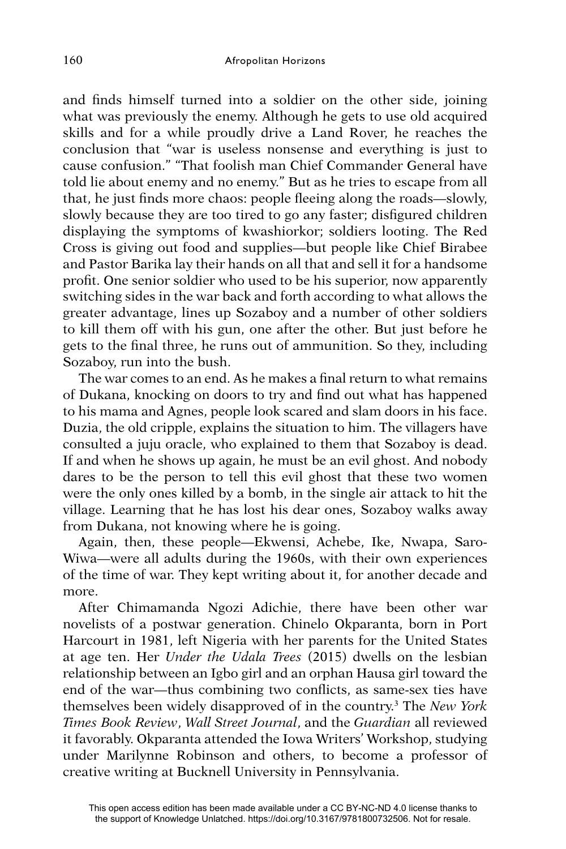and finds himself turned into a soldier on the other side, joining what was previously the enemy. Although he gets to use old acquired skills and for a while proudly drive a Land Rover, he reaches the conclusion that "war is useless nonsense and everything is just to cause confusion." "That foolish man Chief Commander General have told lie about enemy and no enemy." But as he tries to escape from all that, he just finds more chaos: people fleeing along the roads—slowly, slowly because they are too tired to go any faster; disfigured children displaying the symptoms of kwashiorkor; soldiers looting. The Red Cross is giving out food and supplies—but people like Chief Birabee and Pastor Barika lay their hands on all that and sell it for a handsome profit. One senior soldier who used to be his superior, now apparently switching sides in the war back and forth according to what allows the greater advantage, lines up Sozaboy and a number of other soldiers to kill them off with his gun, one after the other. But just before he gets to the final three, he runs out of ammunition. So they, including Sozaboy, run into the bush.

The war comes to an end. As he makes a final return to what remains of Dukana, knocking on doors to try and find out what has happened to his mama and Agnes, people look scared and slam doors in his face. Duzia, the old cripple, explains the situation to him. The villagers have consulted a juju oracle, who explained to them that Sozaboy is dead. If and when he shows up again, he must be an evil ghost. And nobody dares to be the person to tell this evil ghost that these two women were the only ones killed by a bomb, in the single air attack to hit the village. Learning that he has lost his dear ones, Sozaboy walks away from Dukana, not knowing where he is going.

Again, then, these people—Ekwensi, Achebe, Ike, Nwapa, Saro-Wiwa—were all adults during the 1960s, with their own experiences of the time of war. They kept writing about it, for another decade and more.

After Chimamanda Ngozi Adichie, there have been other war novelists of a postwar generation. Chinelo Okparanta, born in Port Harcourt in 1981, left Nigeria with her parents for the United States at age ten. Her *Under the Udala Trees* (2015) dwells on the lesbian relationship between an Igbo girl and an orphan Hausa girl toward the end of the war—thus combining two conflicts, as same-sex ties have themselves been widely disapproved of in the country.3 The *New York Times Book Review*, *Wall Street Journal*, and the *Guardian* all reviewed it favorably. Okparanta attended the Iowa Writers' Workshop, studying under Marilynne Robinson and others, to become a professor of creative writing at Bucknell University in Pennsylvania.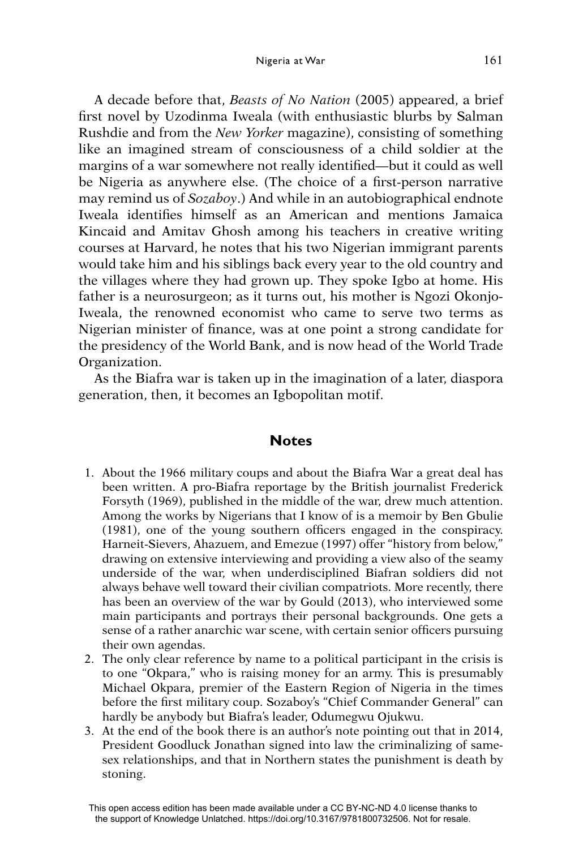A decade before that, *Beasts of No Nation* (2005) appeared, a brief first novel by Uzodinma Iweala (with enthusiastic blurbs by Salman Rushdie and from the *New Yorker* magazine), consisting of something like an imagined stream of consciousness of a child soldier at the margins of a war somewhere not really identified—but it could as well be Nigeria as anywhere else. (The choice of a first-person narrative may remind us of *Sozaboy*.) And while in an autobiographical endnote Iweala identifies himself as an American and mentions Jamaica Kincaid and Amitav Ghosh among his teachers in creative writing courses at Harvard, he notes that his two Nigerian immigrant parents would take him and his siblings back every year to the old country and the villages where they had grown up. They spoke Igbo at home. His father is a neurosurgeon; as it turns out, his mother is Ngozi Okonjo-Iweala, the renowned economist who came to serve two terms as Nigerian minister of finance, was at one point a strong candidate for the presidency of the World Bank, and is now head of the World Trade Organization.

As the Biafra war is taken up in the imagination of a later, diaspora generation, then, it becomes an Igbopolitan motif.

## **Notes**

- 1. About the 1966 military coups and about the Biafra War a great deal has been written. A pro-Biafra reportage by the British journalist Frederick Forsyth (1969), published in the middle of the war, drew much attention. Among the works by Nigerians that I know of is a memoir by Ben Gbulie  $(1981)$ , one of the young southern officers engaged in the conspiracy. Harneit-Sievers, Ahazuem, and Emezue (1997) offer "history from below," drawing on extensive interviewing and providing a view also of the seamy underside of the war, when underdisciplined Biafran soldiers did not always behave well toward their civilian compatriots. More recently, there has been an overview of the war by Gould (2013), who interviewed some main participants and portrays their personal backgrounds. One gets a sense of a rather anarchic war scene, with certain senior officers pursuing their own agendas.
- 2. The only clear reference by name to a political participant in the crisis is to one "Okpara," who is raising money for an army. This is presumably Michael Okpara, premier of the Eastern Region of Nigeria in the times before the first military coup. Sozaboy's "Chief Commander General" can hardly be anybody but Biafra's leader, Odumegwu Ojukwu.
- 3. At the end of the book there is an author's note pointing out that in 2014, President Goodluck Jonathan signed into law the criminalizing of samesex relationships, and that in Northern states the punishment is death by stoning.

This open access edition has been made available under a CC BY-NC-ND 4.0 license thanks to the support of Knowledge Unlatched. https://doi.org/10.3167/9781800732506. Not for resale.